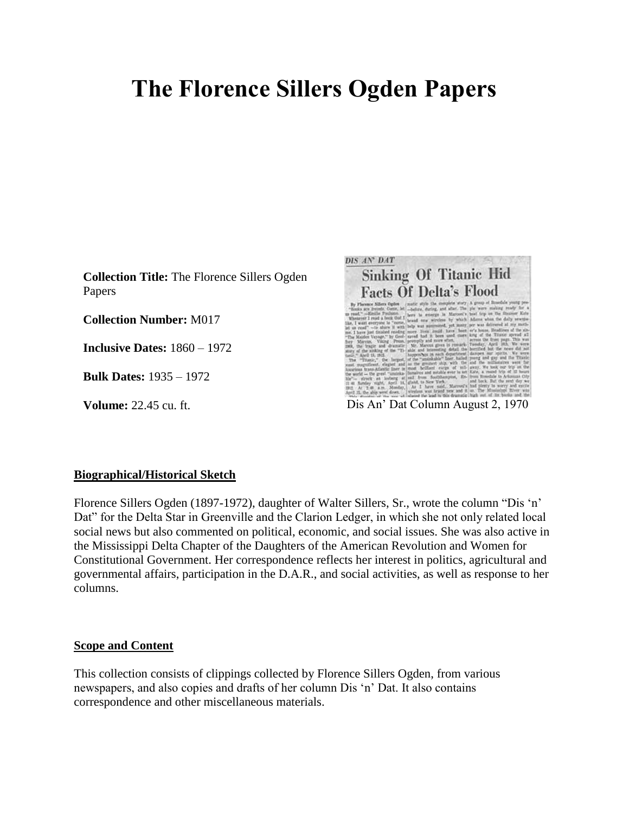# **The Florence Sillers Ogden Papers**

**Collection Title:** The Florence Sillers Ogden Papers

**Collection Number:** M017

**Inclusive Dates:** 1860 – 1972

**Bulk Dates:** 1935 – 1972



#### **Biographical/Historical Sketch**

Florence Sillers Ogden (1897-1972), daughter of Walter Sillers, Sr., wrote the column "Dis 'n' Dat" for the Delta Star in Greenville and the Clarion Ledger, in which she not only related local social news but also commented on political, economic, and social issues. She was also active in the Mississippi Delta Chapter of the Daughters of the American Revolution and Women for Constitutional Government. Her correspondence reflects her interest in politics, agricultural and governmental affairs, participation in the D.A.R., and social activities, as well as response to her columns.

### **Scope and Content**

This collection consists of clippings collected by Florence Sillers Ogden, from various newspapers, and also copies and drafts of her column Dis 'n' Dat. It also contains correspondence and other miscellaneous materials.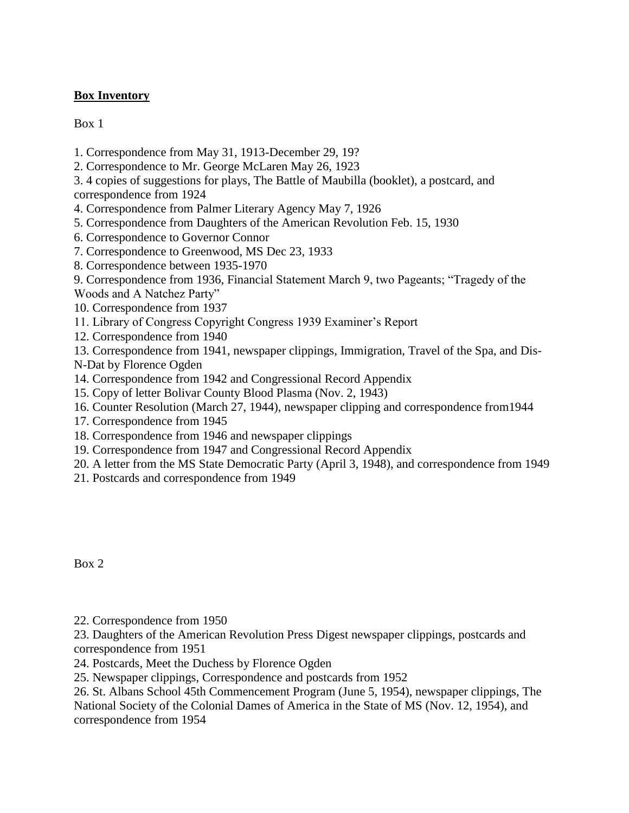# **Box Inventory**

Box 1

- 1. Correspondence from May 31, 1913-December 29, 19?
- 2. Correspondence to Mr. George McLaren May 26, 1923
- 3. 4 copies of suggestions for plays, The Battle of Maubilla (booklet), a postcard, and correspondence from 1924
- 4. Correspondence from Palmer Literary Agency May 7, 1926
- 5. Correspondence from Daughters of the American Revolution Feb. 15, 1930
- 6. Correspondence to Governor Connor
- 7. Correspondence to Greenwood, MS Dec 23, 1933
- 8. Correspondence between 1935-1970

9. Correspondence from 1936, Financial Statement March 9, two Pageants; "Tragedy of the Woods and A Natchez Party"

- 10. Correspondence from 1937
- 11. Library of Congress Copyright Congress 1939 Examiner's Report
- 12. Correspondence from 1940

13. Correspondence from 1941, newspaper clippings, Immigration, Travel of the Spa, and Dis-N-Dat by Florence Ogden

- 14. Correspondence from 1942 and Congressional Record Appendix
- 15. Copy of letter Bolivar County Blood Plasma (Nov. 2, 1943)
- 16. Counter Resolution (March 27, 1944), newspaper clipping and correspondence from1944
- 17. Correspondence from 1945
- 18. Correspondence from 1946 and newspaper clippings
- 19. Correspondence from 1947 and Congressional Record Appendix
- 20. A letter from the MS State Democratic Party (April 3, 1948), and correspondence from 1949
- 21. Postcards and correspondence from 1949

Box 2

22. Correspondence from 1950

23. Daughters of the American Revolution Press Digest newspaper clippings, postcards and correspondence from 1951

- 24. Postcards, Meet the Duchess by Florence Ogden
- 25. Newspaper clippings, Correspondence and postcards from 1952

26. St. Albans School 45th Commencement Program (June 5, 1954), newspaper clippings, The National Society of the Colonial Dames of America in the State of MS (Nov. 12, 1954), and correspondence from 1954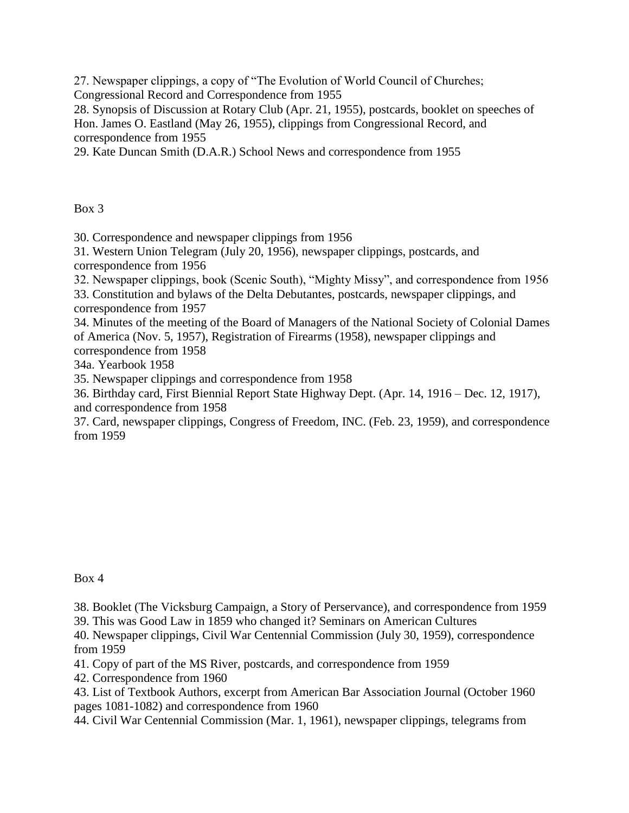27. Newspaper clippings, a copy of "The Evolution of World Council of Churches; Congressional Record and Correspondence from 1955

28. Synopsis of Discussion at Rotary Club (Apr. 21, 1955), postcards, booklet on speeches of Hon. James O. Eastland (May 26, 1955), clippings from Congressional Record, and correspondence from 1955

29. Kate Duncan Smith (D.A.R.) School News and correspondence from 1955

Box 3

30. Correspondence and newspaper clippings from 1956

31. Western Union Telegram (July 20, 1956), newspaper clippings, postcards, and correspondence from 1956

32. Newspaper clippings, book (Scenic South), "Mighty Missy", and correspondence from 1956

33. Constitution and bylaws of the Delta Debutantes, postcards, newspaper clippings, and correspondence from 1957

34. Minutes of the meeting of the Board of Managers of the National Society of Colonial Dames of America (Nov. 5, 1957), Registration of Firearms (1958), newspaper clippings and correspondence from 1958

34a. Yearbook 1958

35. Newspaper clippings and correspondence from 1958

36. Birthday card, First Biennial Report State Highway Dept. (Apr. 14, 1916 – Dec. 12, 1917), and correspondence from 1958

37. Card, newspaper clippings, Congress of Freedom, INC. (Feb. 23, 1959), and correspondence from 1959

Box 4

38. Booklet (The Vicksburg Campaign, a Story of Perservance), and correspondence from 1959

39. This was Good Law in 1859 who changed it? Seminars on American Cultures

40. Newspaper clippings, Civil War Centennial Commission (July 30, 1959), correspondence from 1959

41. Copy of part of the MS River, postcards, and correspondence from 1959

42. Correspondence from 1960

43. List of Textbook Authors, excerpt from American Bar Association Journal (October 1960 pages 1081-1082) and correspondence from 1960

44. Civil War Centennial Commission (Mar. 1, 1961), newspaper clippings, telegrams from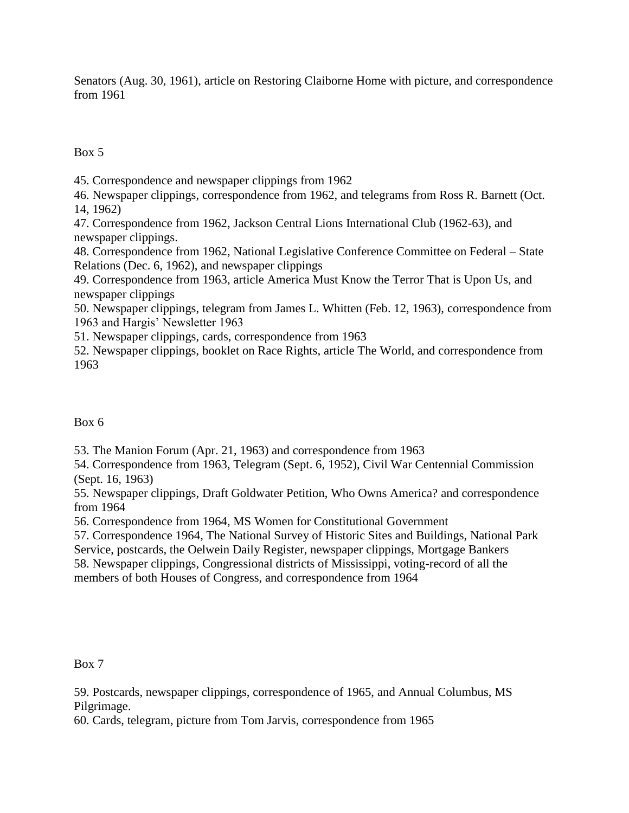Senators (Aug. 30, 1961), article on Restoring Claiborne Home with picture, and correspondence from 1961

Box 5

45. Correspondence and newspaper clippings from 1962

46. Newspaper clippings, correspondence from 1962, and telegrams from Ross R. Barnett (Oct. 14, 1962)

47. Correspondence from 1962, Jackson Central Lions International Club (1962-63), and newspaper clippings.

48. Correspondence from 1962, National Legislative Conference Committee on Federal – State Relations (Dec. 6, 1962), and newspaper clippings

49. Correspondence from 1963, article America Must Know the Terror That is Upon Us, and newspaper clippings

50. Newspaper clippings, telegram from James L. Whitten (Feb. 12, 1963), correspondence from 1963 and Hargis' Newsletter 1963

51. Newspaper clippings, cards, correspondence from 1963

52. Newspaper clippings, booklet on Race Rights, article The World, and correspondence from 1963

# Box 6

53. The Manion Forum (Apr. 21, 1963) and correspondence from 1963

54. Correspondence from 1963, Telegram (Sept. 6, 1952), Civil War Centennial Commission (Sept. 16, 1963)

55. Newspaper clippings, Draft Goldwater Petition, Who Owns America? and correspondence from 1964

56. Correspondence from 1964, MS Women for Constitutional Government

57. Correspondence 1964, The National Survey of Historic Sites and Buildings, National Park Service, postcards, the Oelwein Daily Register, newspaper clippings, Mortgage Bankers 58. Newspaper clippings, Congressional districts of Mississippi, voting-record of all the members of both Houses of Congress, and correspondence from 1964

Box 7

59. Postcards, newspaper clippings, correspondence of 1965, and Annual Columbus, MS Pilgrimage.

60. Cards, telegram, picture from Tom Jarvis, correspondence from 1965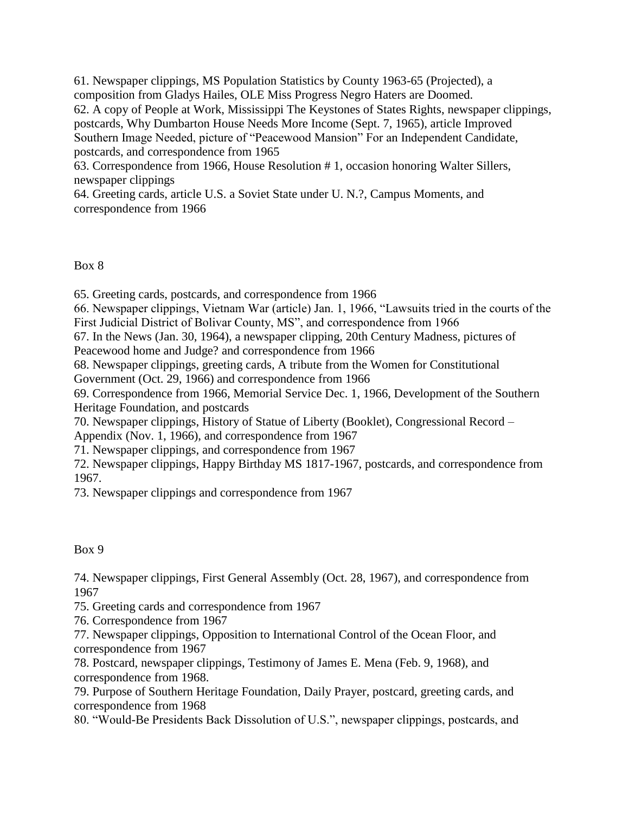61. Newspaper clippings, MS Population Statistics by County 1963-65 (Projected), a composition from Gladys Hailes, OLE Miss Progress Negro Haters are Doomed. 62. A copy of People at Work, Mississippi The Keystones of States Rights, newspaper clippings, postcards, Why Dumbarton House Needs More Income (Sept. 7, 1965), article Improved Southern Image Needed, picture of "Peacewood Mansion" For an Independent Candidate, postcards, and correspondence from 1965

63. Correspondence from 1966, House Resolution # 1, occasion honoring Walter Sillers, newspaper clippings

64. Greeting cards, article U.S. a Soviet State under U. N.?, Campus Moments, and correspondence from 1966

Box 8

65. Greeting cards, postcards, and correspondence from 1966

66. Newspaper clippings, Vietnam War (article) Jan. 1, 1966, "Lawsuits tried in the courts of the First Judicial District of Bolivar County, MS", and correspondence from 1966

67. In the News (Jan. 30, 1964), a newspaper clipping, 20th Century Madness, pictures of

Peacewood home and Judge? and correspondence from 1966

68. Newspaper clippings, greeting cards, A tribute from the Women for Constitutional

Government (Oct. 29, 1966) and correspondence from 1966

69. Correspondence from 1966, Memorial Service Dec. 1, 1966, Development of the Southern Heritage Foundation, and postcards

70. Newspaper clippings, History of Statue of Liberty (Booklet), Congressional Record – Appendix (Nov. 1, 1966), and correspondence from 1967

71. Newspaper clippings, and correspondence from 1967

72. Newspaper clippings, Happy Birthday MS 1817-1967, postcards, and correspondence from 1967.

73. Newspaper clippings and correspondence from 1967

Box 9

74. Newspaper clippings, First General Assembly (Oct. 28, 1967), and correspondence from 1967

75. Greeting cards and correspondence from 1967

76. Correspondence from 1967

77. Newspaper clippings, Opposition to International Control of the Ocean Floor, and correspondence from 1967

78. Postcard, newspaper clippings, Testimony of James E. Mena (Feb. 9, 1968), and correspondence from 1968.

79. Purpose of Southern Heritage Foundation, Daily Prayer, postcard, greeting cards, and correspondence from 1968

80. "Would-Be Presidents Back Dissolution of U.S.", newspaper clippings, postcards, and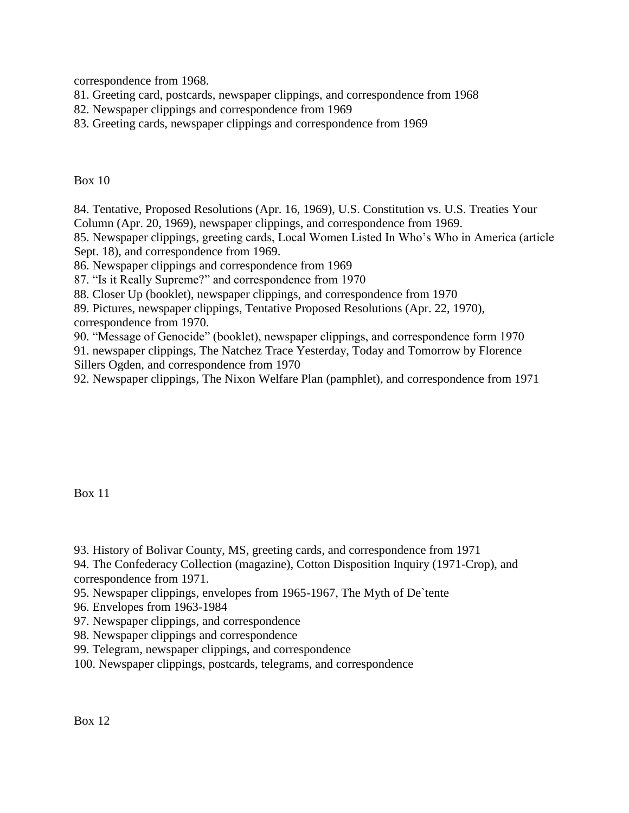correspondence from 1968.

- 81. Greeting card, postcards, newspaper clippings, and correspondence from 1968
- 82. Newspaper clippings and correspondence from 1969
- 83. Greeting cards, newspaper clippings and correspondence from 1969

Box 10

84. Tentative, Proposed Resolutions (Apr. 16, 1969), U.S. Constitution vs. U.S. Treaties Your Column (Apr. 20, 1969), newspaper clippings, and correspondence from 1969.

85. Newspaper clippings, greeting cards, Local Women Listed In Who's Who in America (article Sept. 18), and correspondence from 1969.

86. Newspaper clippings and correspondence from 1969

87. "Is it Really Supreme?" and correspondence from 1970

88. Closer Up (booklet), newspaper clippings, and correspondence from 1970

89. Pictures, newspaper clippings, Tentative Proposed Resolutions (Apr. 22, 1970), correspondence from 1970.

90. "Message of Genocide" (booklet), newspaper clippings, and correspondence form 1970 91. newspaper clippings, The Natchez Trace Yesterday, Today and Tomorrow by Florence Sillers Ogden, and correspondence from 1970

92. Newspaper clippings, The Nixon Welfare Plan (pamphlet), and correspondence from 1971

Box 11

93. History of Bolivar County, MS, greeting cards, and correspondence from 1971

94. The Confederacy Collection (magazine), Cotton Disposition Inquiry (1971-Crop), and correspondence from 1971.

- 95. Newspaper clippings, envelopes from 1965-1967, The Myth of De`tente
- 96. Envelopes from 1963-1984
- 97. Newspaper clippings, and correspondence
- 98. Newspaper clippings and correspondence
- 99. Telegram, newspaper clippings, and correspondence
- 100. Newspaper clippings, postcards, telegrams, and correspondence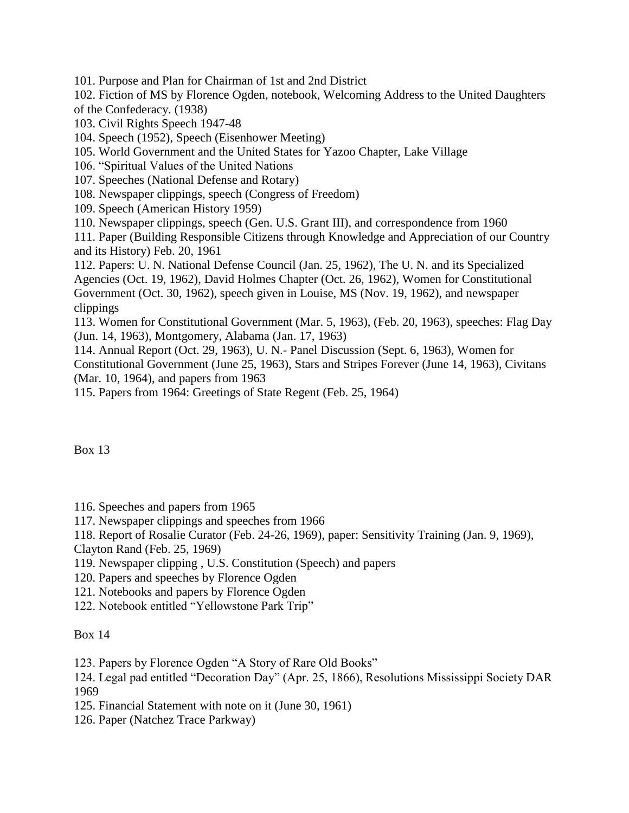101. Purpose and Plan for Chairman of 1st and 2nd District

102. Fiction of MS by Florence Ogden, notebook, Welcoming Address to the United Daughters of the Confederacy. (1938)

103. Civil Rights Speech 1947-48

104. Speech (1952), Speech (Eisenhower Meeting)

105. World Government and the United States for Yazoo Chapter, Lake Village

106. "Spiritual Values of the United Nations

107. Speeches (National Defense and Rotary)

108. Newspaper clippings, speech (Congress of Freedom)

109. Speech (American History 1959)

110. Newspaper clippings, speech (Gen. U.S. Grant III), and correspondence from 1960

111. Paper (Building Responsible Citizens through Knowledge and Appreciation of our Country and its History) Feb. 20, 1961

112. Papers: U. N. National Defense Council (Jan. 25, 1962), The U. N. and its Specialized Agencies (Oct. 19, 1962), David Holmes Chapter (Oct. 26, 1962), Women for Constitutional Government (Oct. 30, 1962), speech given in Louise, MS (Nov. 19, 1962), and newspaper clippings

113. Women for Constitutional Government (Mar. 5, 1963), (Feb. 20, 1963), speeches: Flag Day (Jun. 14, 1963), Montgomery, Alabama (Jan. 17, 1963)

114. Annual Report (Oct. 29, 1963), U. N.- Panel Discussion (Sept. 6, 1963), Women for Constitutional Government (June 25, 1963), Stars and Stripes Forever (June 14, 1963), Civitans (Mar. 10, 1964), and papers from 1963

115. Papers from 1964: Greetings of State Regent (Feb. 25, 1964)

Box 13

116. Speeches and papers from 1965

117. Newspaper clippings and speeches from 1966

118. Report of Rosalie Curator (Feb. 24-26, 1969), paper: Sensitivity Training (Jan. 9, 1969),

Clayton Rand (Feb. 25, 1969)

119. Newspaper clipping , U.S. Constitution (Speech) and papers

120. Papers and speeches by Florence Ogden

121. Notebooks and papers by Florence Ogden

122. Notebook entitled "Yellowstone Park Trip"

# Box 14

123. Papers by Florence Ogden "A Story of Rare Old Books"

124. Legal pad entitled "Decoration Day" (Apr. 25, 1866), Resolutions Mississippi Society DAR 1969

125. Financial Statement with note on it (June 30, 1961)

126. Paper (Natchez Trace Parkway)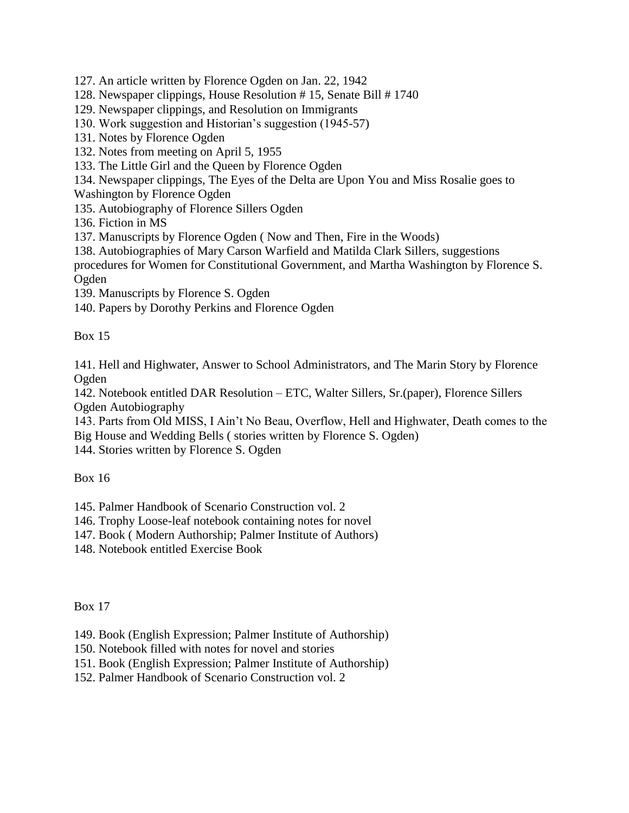127. An article written by Florence Ogden on Jan. 22, 1942

128. Newspaper clippings, House Resolution # 15, Senate Bill # 1740

129. Newspaper clippings, and Resolution on Immigrants

130. Work suggestion and Historian's suggestion (1945-57)

131. Notes by Florence Ogden

132. Notes from meeting on April 5, 1955

133. The Little Girl and the Queen by Florence Ogden

134. Newspaper clippings, The Eyes of the Delta are Upon You and Miss Rosalie goes to

Washington by Florence Ogden

135. Autobiography of Florence Sillers Ogden

136. Fiction in MS

137. Manuscripts by Florence Ogden ( Now and Then, Fire in the Woods)

138. Autobiographies of Mary Carson Warfield and Matilda Clark Sillers, suggestions

procedures for Women for Constitutional Government, and Martha Washington by Florence S. Ogden

139. Manuscripts by Florence S. Ogden

140. Papers by Dorothy Perkins and Florence Ogden

Box 15

141. Hell and Highwater, Answer to School Administrators, and The Marin Story by Florence Ogden

142. Notebook entitled DAR Resolution – ETC, Walter Sillers, Sr.(paper), Florence Sillers Ogden Autobiography

143. Parts from Old MISS, I Ain't No Beau, Overflow, Hell and Highwater, Death comes to the Big House and Wedding Bells ( stories written by Florence S. Ogden)

144. Stories written by Florence S. Ogden

Box 16

145. Palmer Handbook of Scenario Construction vol. 2

146. Trophy Loose-leaf notebook containing notes for novel

147. Book ( Modern Authorship; Palmer Institute of Authors)

148. Notebook entitled Exercise Book

Box 17

149. Book (English Expression; Palmer Institute of Authorship)

150. Notebook filled with notes for novel and stories

151. Book (English Expression; Palmer Institute of Authorship)

152. Palmer Handbook of Scenario Construction vol. 2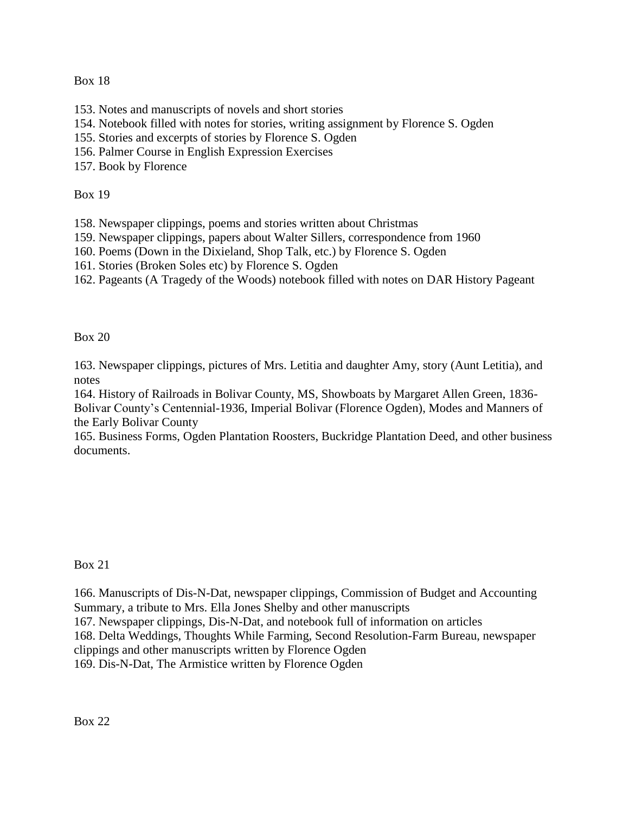Box 18

- 153. Notes and manuscripts of novels and short stories
- 154. Notebook filled with notes for stories, writing assignment by Florence S. Ogden
- 155. Stories and excerpts of stories by Florence S. Ogden
- 156. Palmer Course in English Expression Exercises
- 157. Book by Florence

Box 19

- 158. Newspaper clippings, poems and stories written about Christmas
- 159. Newspaper clippings, papers about Walter Sillers, correspondence from 1960
- 160. Poems (Down in the Dixieland, Shop Talk, etc.) by Florence S. Ogden
- 161. Stories (Broken Soles etc) by Florence S. Ogden
- 162. Pageants (A Tragedy of the Woods) notebook filled with notes on DAR History Pageant

Box 20

163. Newspaper clippings, pictures of Mrs. Letitia and daughter Amy, story (Aunt Letitia), and notes

164. History of Railroads in Bolivar County, MS, Showboats by Margaret Allen Green, 1836- Bolivar County's Centennial-1936, Imperial Bolivar (Florence Ogden), Modes and Manners of the Early Bolivar County

165. Business Forms, Ogden Plantation Roosters, Buckridge Plantation Deed, and other business documents.

# Box 21

166. Manuscripts of Dis-N-Dat, newspaper clippings, Commission of Budget and Accounting Summary, a tribute to Mrs. Ella Jones Shelby and other manuscripts 167. Newspaper clippings, Dis-N-Dat, and notebook full of information on articles 168. Delta Weddings, Thoughts While Farming, Second Resolution-Farm Bureau, newspaper clippings and other manuscripts written by Florence Ogden 169. Dis-N-Dat, The Armistice written by Florence Ogden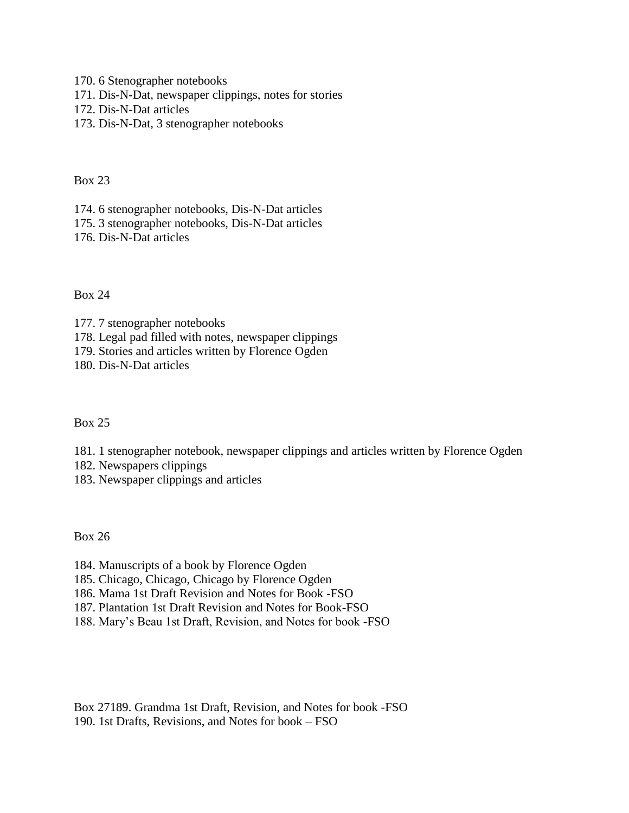170. 6 Stenographer notebooks

- 171. Dis-N-Dat, newspaper clippings, notes for stories
- 172. Dis-N-Dat articles
- 173. Dis-N-Dat, 3 stenographer notebooks

Box 23

174. 6 stenographer notebooks, Dis-N-Dat articles

175. 3 stenographer notebooks, Dis-N-Dat articles

176. Dis-N-Dat articles

## Box 24

177. 7 stenographer notebooks

178. Legal pad filled with notes, newspaper clippings

179. Stories and articles written by Florence Ogden

180. Dis-N-Dat articles

# Box 25

181. 1 stenographer notebook, newspaper clippings and articles written by Florence Ogden

182. Newspapers clippings

183. Newspaper clippings and articles

Box 26

184. Manuscripts of a book by Florence Ogden

185. Chicago, Chicago, Chicago by Florence Ogden

186. Mama 1st Draft Revision and Notes for Book -FSO

187. Plantation 1st Draft Revision and Notes for Book-FSO

188. Mary's Beau 1st Draft, Revision, and Notes for book -FSO

Box 27189. Grandma 1st Draft, Revision, and Notes for book -FSO 190. 1st Drafts, Revisions, and Notes for book – FSO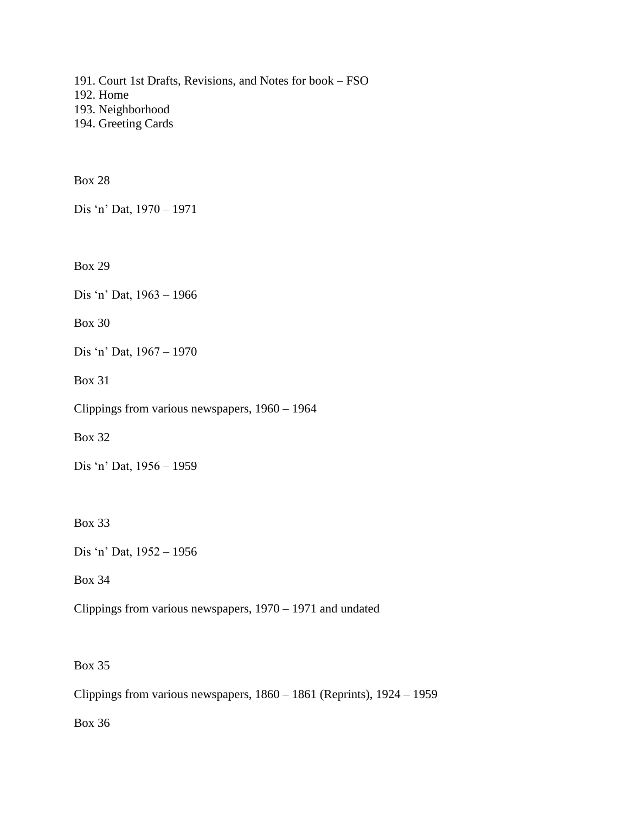191. Court 1st Drafts, Revisions, and Notes for book – FSO 192. Home 193. Neighborhood 194. Greeting Cards

Box 28

Dis 'n' Dat, 1970 – 1971

Box 29

Dis 'n' Dat, 1963 – 1966

Box 30

Dis 'n' Dat, 1967 – 1970

Box 31

Clippings from various newspapers, 1960 – 1964

Box 32

Dis 'n' Dat, 1956 – 1959

Box 33

Dis 'n' Dat, 1952 – 1956

Box 34

Clippings from various newspapers, 1970 – 1971 and undated

Box 35

Clippings from various newspapers, 1860 – 1861 (Reprints), 1924 – 1959

Box 36